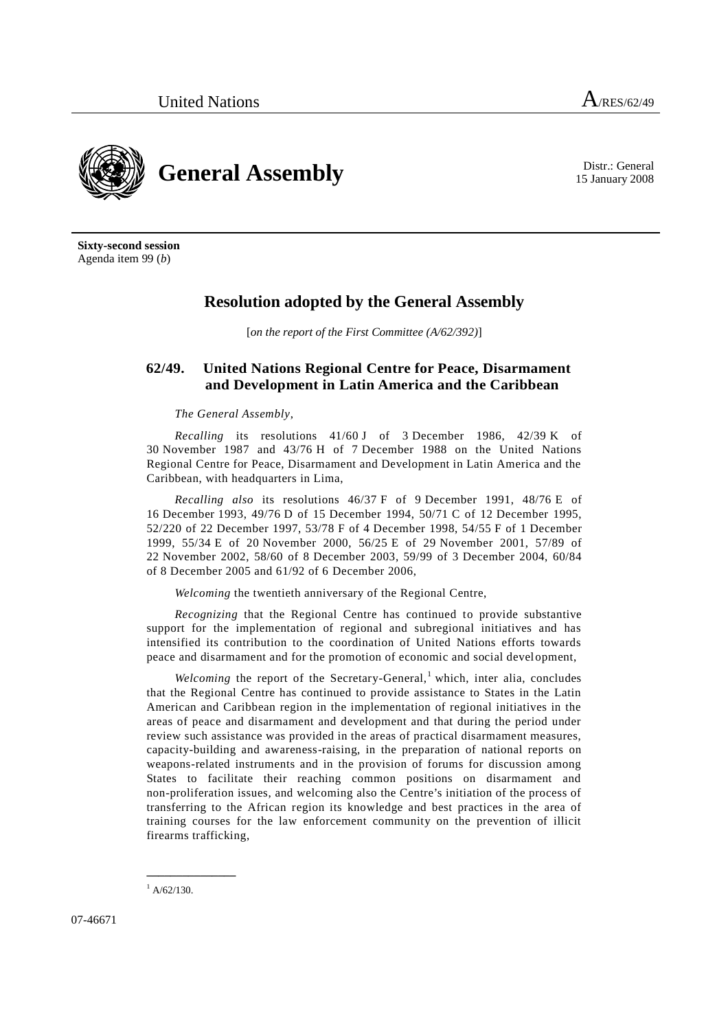

15 January 2008

**Sixty-second session** Agenda item 99 (*b*)

## **Resolution adopted by the General Assembly**

[*on the report of the First Committee (A/62/392)*]

## **62/49. United Nations Regional Centre for Peace, Disarmament and Development in Latin America and the Caribbean**

## *The General Assembly*,

*Recalling* its resolutions 41/60 J of 3 December 1986, 42/39 K of 30 November 1987 and 43/76 H of 7 December 1988 on the United Nations Regional Centre for Peace, Disarmament and Development in Latin America and the Caribbean, with headquarters in Lima,

*Recalling also* its resolutions 46/37 F of 9 December 1991, 48/76 E of 16 December 1993, 49/76 D of 15 December 1994, 50/71 C of 12 December 1995, 52/220 of 22 December 1997, 53/78 F of 4 December 1998, 54/55 F of 1 December 1999, 55/34 E of 20 November 2000, 56/25 E of 29 November 2001, 57/89 of 22 November 2002, 58/60 of 8 December 2003, 59/99 of 3 December 2004, 60/84 of 8 December 2005 and 61/92 of 6 December 2006,

*Welcoming* the twentieth anniversary of the Regional Centre,

*Recognizing* that the Regional Centre has continued to provide substantive support for the implementation of regional and subregional initiatives and has intensified its contribution to the coordination of United Nations efforts towards peace and disarmament and for the promotion of economic and social development,

*Welcoming* the report of the Secretary-General,<sup>1</sup> which, inter alia, concludes that the Regional Centre has continued to provide assistance to States in the Latin American and Caribbean region in the implementation of regional initiatives in the areas of peace and disarmament and development and that during the period under review such assistance was provided in the areas of practical disarmament measures, capacity-building and awareness-raising, in the preparation of national reports on weapons-related instruments and in the provision of forums for discussion among States to facilitate their reaching common positions on disarmament and non-proliferation issues, and welcoming also the Centre's initiation of the process of transferring to the African region its knowledge and best practices in the area of training courses for the law enforcement community on the prevention of illicit firearms trafficking,

**\_\_\_\_\_\_\_\_\_\_\_\_\_\_\_**

 $^{1}$  A/62/130.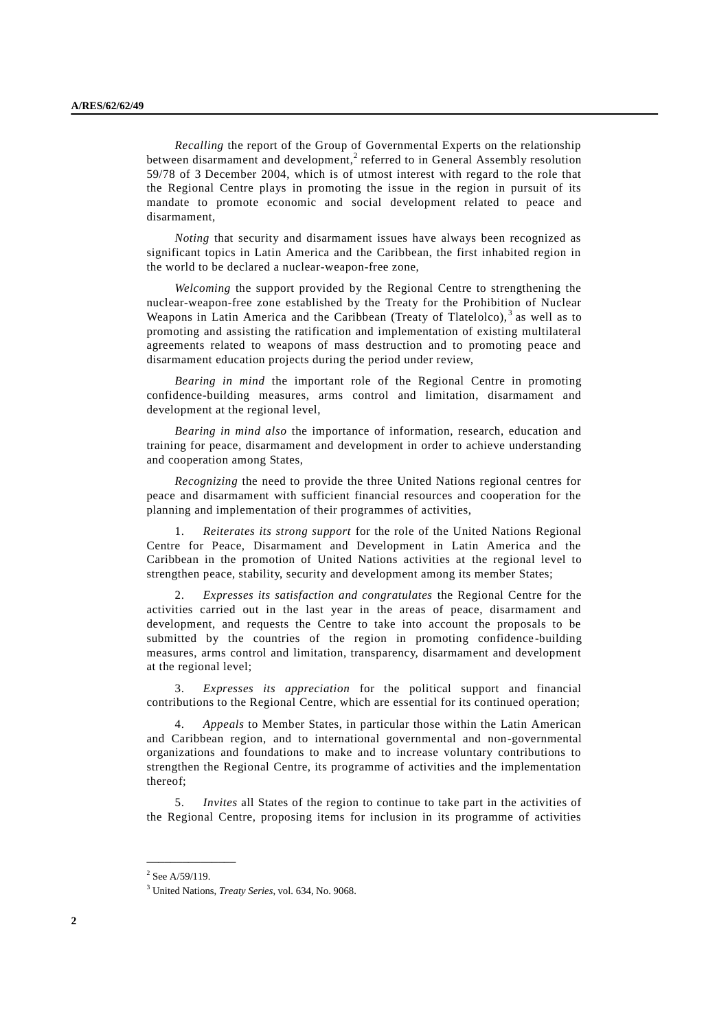*Recalling* the report of the Group of Governmental Experts on the relationship between disarmament and development,<sup>2</sup> referred to in General Assembly resolution 59/78 of 3 December 2004, which is of utmost interest with regard to the role that the Regional Centre plays in promoting the issue in the region in pursuit of its mandate to promote economic and social development related to peace and disarmament,

*Noting* that security and disarmament issues have always been recognized as significant topics in Latin America and the Caribbean, the first inhabited region in the world to be declared a nuclear-weapon-free zone,

*Welcoming* the support provided by the Regional Centre to strengthening the nuclear-weapon-free zone established by the Treaty for the Prohibition of Nuclear Weapons in Latin America and the Caribbean (Treaty of Tlatelolco),<sup>3</sup> as well as to promoting and assisting the ratification and implementation of existing multilateral agreements related to weapons of mass destruction and to promoting peace and disarmament education projects during the period under review,

*Bearing in mind* the important role of the Regional Centre in promoting confidence-building measures, arms control and limitation, disarmament and development at the regional level,

*Bearing in mind also* the importance of information, research, education and training for peace, disarmament and development in order to achieve understanding and cooperation among States,

*Recognizing* the need to provide the three United Nations regional centres for peace and disarmament with sufficient financial resources and cooperation for the planning and implementation of their programmes of activities,

1. *Reiterates its strong support* for the role of the United Nations Regional Centre for Peace, Disarmament and Development in Latin America and the Caribbean in the promotion of United Nations activities at the regional level to strengthen peace, stability, security and development among its member States;

2. *Expresses its satisfaction and congratulates* the Regional Centre for the activities carried out in the last year in the areas of peace, disarmament and development, and requests the Centre to take into account the proposals to be submitted by the countries of the region in promoting confidence -building measures, arms control and limitation, transparency, disarmament and development at the regional level;

3. *Expresses its appreciation* for the political support and financial contributions to the Regional Centre, which are essential for its continued operation;

4. *Appeals* to Member States, in particular those within the Latin American and Caribbean region, and to international governmental and non-governmental organizations and foundations to make and to increase voluntary contributions to strengthen the Regional Centre, its programme of activities and the implementation thereof;

5. *Invites* all States of the region to continue to take part in the activities of the Regional Centre, proposing items for inclusion in its programme of activities

**\_\_\_\_\_\_\_\_\_\_\_\_\_\_\_**

 $2$  See A/59/119.

<sup>3</sup> United Nations, *Treaty Series*, vol. 634, No. 9068.